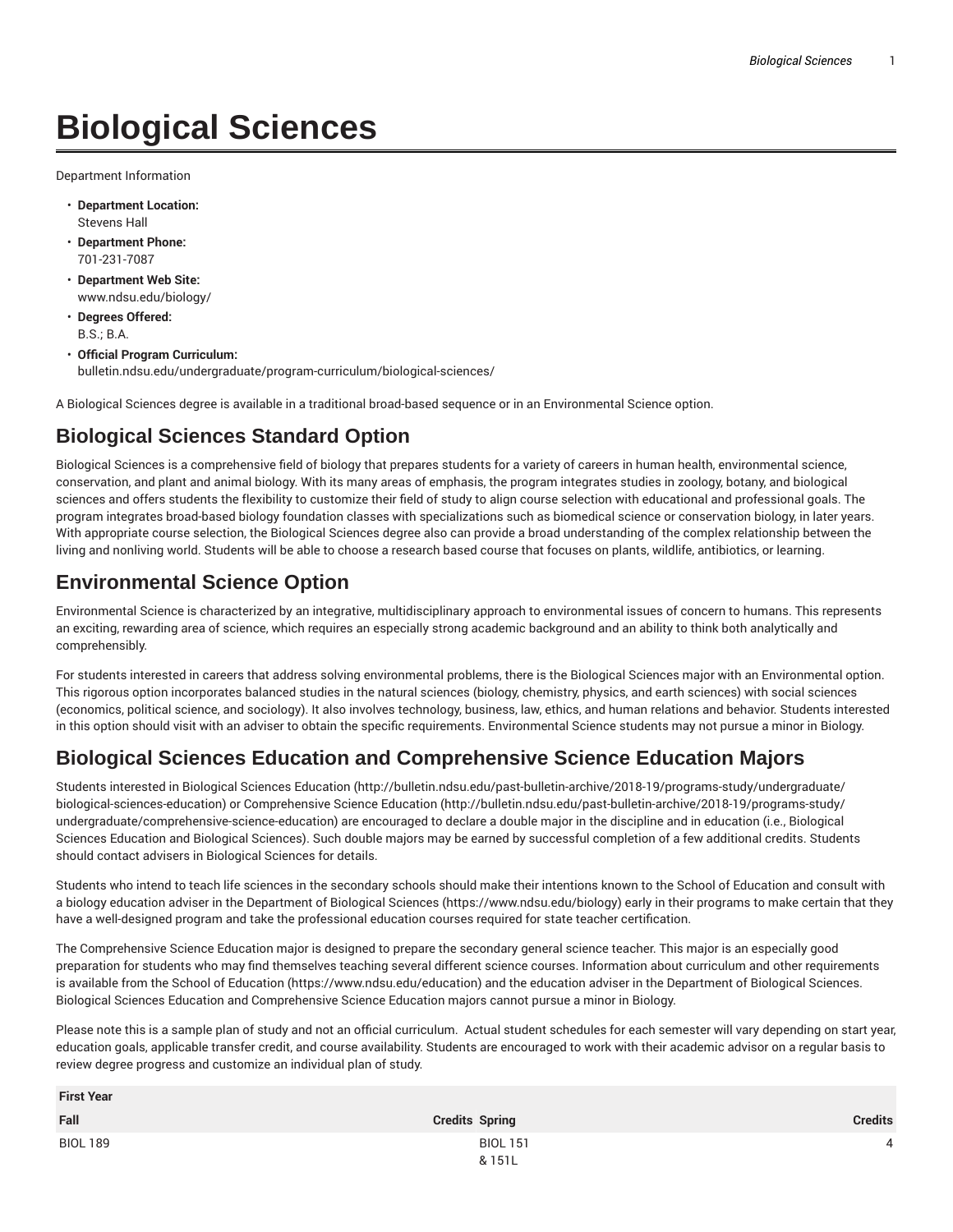# **Biological Sciences**

Department Information

- **Department Location:** Stevens Hall
- **Department Phone:** 701-231-7087
- **Department Web Site:** www.ndsu.edu/biology/
- **Degrees Offered:** B.S.; B.A.
- **Official Program Curriculum:** bulletin.ndsu.edu/undergraduate/program-curriculum/biological-sciences/

A Biological Sciences degree is available in a traditional broad-based sequence or in an Environmental Science option.

### **Biological Sciences Standard Option**

Biological Sciences is a comprehensive field of biology that prepares students for a variety of careers in human health, environmental science, conservation, and plant and animal biology. With its many areas of emphasis, the program integrates studies in zoology, botany, and biological sciences and offers students the flexibility to customize their field of study to align course selection with educational and professional goals. The program integrates broad-based biology foundation classes with specializations such as biomedical science or conservation biology, in later years. With appropriate course selection, the Biological Sciences degree also can provide a broad understanding of the complex relationship between the living and nonliving world. Students will be able to choose a research based course that focuses on plants, wildlife, antibiotics, or learning.

#### **Environmental Science Option**

Environmental Science is characterized by an integrative, multidisciplinary approach to environmental issues of concern to humans. This represents an exciting, rewarding area of science, which requires an especially strong academic background and an ability to think both analytically and comprehensibly.

For students interested in careers that address solving environmental problems, there is the Biological Sciences major with an Environmental option. This rigorous option incorporates balanced studies in the natural sciences (biology, chemistry, physics, and earth sciences) with social sciences (economics, political science, and sociology). It also involves technology, business, law, ethics, and human relations and behavior. Students interested in this option should visit with an adviser to obtain the specific requirements. Environmental Science students may not pursue a minor in Biology.

## **Biological Sciences Education and Comprehensive Science Education Majors**

Students interested in Biological Sciences Education (http://bulletin.ndsu.edu/past-bulletin-archive/2018-19/programs-study/undergraduate/ biological-sciences-education) or Comprehensive Science Education (http://bulletin.ndsu.edu/past-bulletin-archive/2018-19/programs-study/ undergraduate/comprehensive-science-education) are encouraged to declare a double major in the discipline and in education (i.e., Biological Sciences Education and Biological Sciences). Such double majors may be earned by successful completion of a few additional credits. Students should contact advisers in Biological Sciences for details.

Students who intend to teach life sciences in the secondary schools should make their intentions known to the School of Education and consult with a biology education adviser in the Department of Biological Sciences (https://www.ndsu.edu/biology) early in their programs to make certain that they have a well-designed program and take the professional education courses required for state teacher certification.

The Comprehensive Science Education major is designed to prepare the secondary general science teacher. This major is an especially good preparation for students who may find themselves teaching several different science courses. Information about curriculum and other requirements is available from the School of Education (https://www.ndsu.edu/education) and the education adviser in the Department of Biological Sciences. Biological Sciences Education and Comprehensive Science Education majors cannot pursue a minor in Biology.

Please note this is a sample plan of study and not an official curriculum. Actual student schedules for each semester will vary depending on start year, education goals, applicable transfer credit, and course availability. Students are encouraged to work with their academic advisor on a regular basis to review degree progress and customize an individual plan of study.

| <b>First Year</b> |                           |                |
|-------------------|---------------------------|----------------|
| Fall              | <b>Credits Spring</b>     | <b>Credits</b> |
| <b>BIOL 189</b>   | <b>BIOL 151</b><br>& 151L | $\Lambda$      |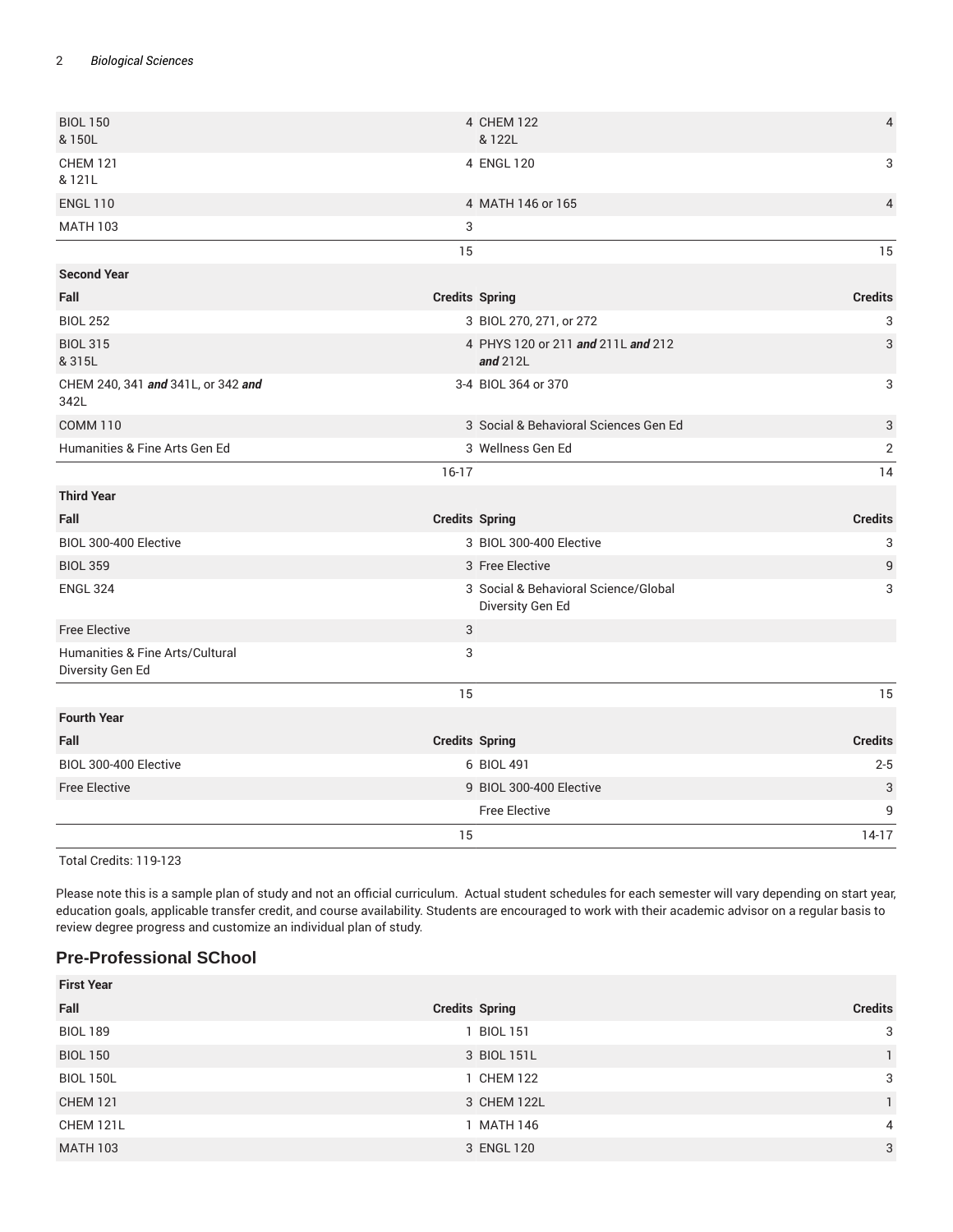| <b>BIOL 150</b><br>& 150L                           |                       | 4 CHEM 122<br>& 122L                                     | $\overline{4}$            |
|-----------------------------------------------------|-----------------------|----------------------------------------------------------|---------------------------|
| <b>CHEM 121</b><br>& 121L                           |                       | 4 ENGL 120                                               | 3                         |
| <b>ENGL 110</b>                                     |                       | 4 MATH 146 or 165                                        | $\overline{4}$            |
| <b>MATH 103</b>                                     | 3                     |                                                          |                           |
|                                                     | 15                    |                                                          | 15                        |
| <b>Second Year</b>                                  |                       |                                                          |                           |
| Fall                                                | <b>Credits Spring</b> |                                                          | <b>Credits</b>            |
| <b>BIOL 252</b>                                     |                       | 3 BIOL 270, 271, or 272                                  | 3                         |
| <b>BIOL 315</b><br>& 315L                           |                       | 4 PHYS 120 or 211 and 211L and 212<br>and $212L$         | 3                         |
| CHEM 240, 341 and 341L, or 342 and<br>342L          |                       | 3-4 BIOL 364 or 370                                      | 3                         |
| <b>COMM 110</b>                                     |                       | 3 Social & Behavioral Sciences Gen Ed                    | 3                         |
| Humanities & Fine Arts Gen Ed                       |                       | 3 Wellness Gen Ed                                        | $\mathbf{2}$              |
|                                                     | $16-17$               |                                                          | 14                        |
| <b>Third Year</b>                                   |                       |                                                          |                           |
| Fall                                                | <b>Credits Spring</b> |                                                          | <b>Credits</b>            |
| BIOL 300-400 Elective                               |                       | 3 BIOL 300-400 Elective                                  | $\ensuremath{\mathsf{3}}$ |
| <b>BIOL 359</b>                                     |                       | 3 Free Elective                                          | 9                         |
| <b>ENGL 324</b>                                     |                       | 3 Social & Behavioral Science/Global<br>Diversity Gen Ed | 3                         |
| <b>Free Elective</b>                                | 3                     |                                                          |                           |
| Humanities & Fine Arts/Cultural<br>Diversity Gen Ed | 3                     |                                                          |                           |
|                                                     | 15                    |                                                          | 15                        |
| <b>Fourth Year</b>                                  |                       |                                                          |                           |
| Fall                                                | <b>Credits Spring</b> |                                                          | <b>Credits</b>            |
| BIOL 300-400 Elective                               |                       | 6 BIOL 491                                               | $2 - 5$                   |
| <b>Free Elective</b>                                |                       | 9 BIOL 300-400 Elective                                  | 3                         |
|                                                     |                       | <b>Free Elective</b>                                     | 9                         |
|                                                     | 15                    |                                                          | $14-17$                   |

Total Credits: 119-123

Please note this is a sample plan of study and not an official curriculum. Actual student schedules for each semester will vary depending on start year, education goals, applicable transfer credit, and course availability. Students are encouraged to work with their academic advisor on a regular basis to review degree progress and customize an individual plan of study.

#### **Pre-Professional SChool**

| <b>First Year</b> |                       |                |
|-------------------|-----------------------|----------------|
| Fall              | <b>Credits Spring</b> | <b>Credits</b> |
| <b>BIOL 189</b>   | <b>BIOL 151</b>       | 3              |
| <b>BIOL 150</b>   | 3 BIOL 151L           |                |
| <b>BIOL 150L</b>  | 1 CHEM 122            | 3              |
| <b>CHEM 121</b>   | 3 CHEM 122L           |                |
| CHEM 121L         | 1 MATH 146            | $\overline{4}$ |
| <b>MATH 103</b>   | 3 ENGL 120            | 3              |